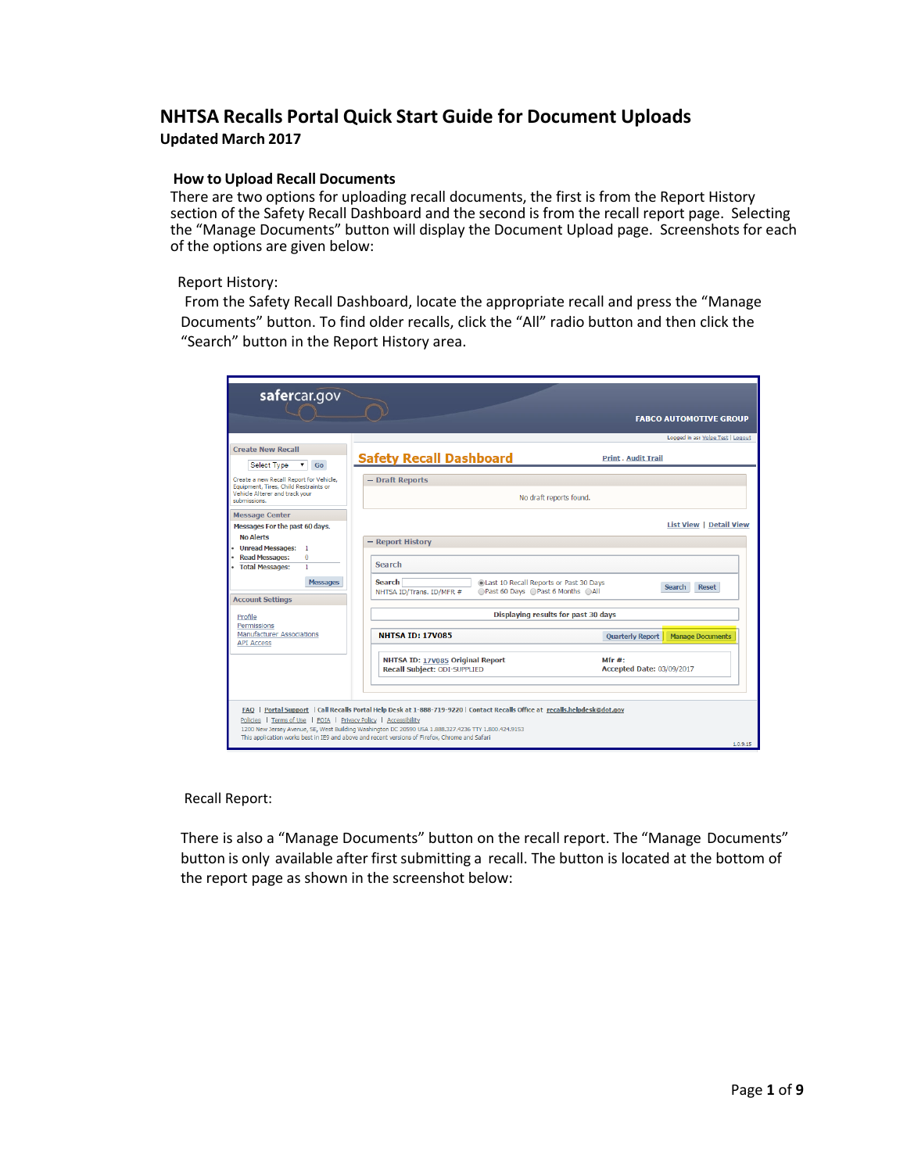# **NHTSA Recalls Portal Quick Start Guide for Document Uploads Updated March 2017**

#### **How to Upload Recall Documents**

There are two options for uploading recall documents, the first is from the Report History section of the Safety Recall Dashboard and the second is from the recall report page. Selecting the "Manage Documents" button will display the Document Upload page. Screenshots for each of the options are given below:

#### Report History:

From the Safety Recall Dashboard, locate the appropriate recall and press the "Manage Documents" button. To find older recalls, click the "All" radio button and then click the "Search" button in the Report History area.

| safercar.gov                                                                     |                                                                                                                                                                                                                                                                                                                                      | <b>FABCO AUTOMOTIVE GROUP</b>                      |
|----------------------------------------------------------------------------------|--------------------------------------------------------------------------------------------------------------------------------------------------------------------------------------------------------------------------------------------------------------------------------------------------------------------------------------|----------------------------------------------------|
|                                                                                  |                                                                                                                                                                                                                                                                                                                                      | Logged in as: Volpe Test   Logout                  |
| <b>Create New Recall</b><br>Select Type<br>Go                                    | <b>Safety Recall Dashboard</b>                                                                                                                                                                                                                                                                                                       | <b>Print . Audit Trail</b>                         |
| Create a new Recall Report for Vehicle,<br>Equipment, Tires, Child Restraints or | - Draft Reports                                                                                                                                                                                                                                                                                                                      |                                                    |
| Vehicle Alterer and track your<br>submissions.                                   |                                                                                                                                                                                                                                                                                                                                      | No draft reports found.                            |
| <b>Message Center</b>                                                            |                                                                                                                                                                                                                                                                                                                                      |                                                    |
| Messages For the past 60 days.                                                   |                                                                                                                                                                                                                                                                                                                                      | <b>List View   Detail View</b>                     |
| <b>No Alerts</b>                                                                 | - Report History                                                                                                                                                                                                                                                                                                                     |                                                    |
| • Unread Messages: 1<br><b>Read Messages:</b><br>$\mathbf{0}$                    |                                                                                                                                                                                                                                                                                                                                      |                                                    |
| <b>Total Messages:</b><br>1                                                      | Search                                                                                                                                                                                                                                                                                                                               |                                                    |
| <b>Messages</b>                                                                  | <b>Search</b><br>Last 10 Recall Reports or Past 30 Days<br>○Past 60 Days ○Past 6 Months ○All<br>NHTSA ID/Trans. ID/MFR #                                                                                                                                                                                                             | <b>Search</b><br><b>Reset</b>                      |
| <b>Account Settings</b><br>Profile                                               |                                                                                                                                                                                                                                                                                                                                      | Displaying results for past 30 days                |
| Permissions                                                                      |                                                                                                                                                                                                                                                                                                                                      |                                                    |
| <b>Manufacturer Associations</b><br><b>API Access</b>                            | <b>NHTSA ID: 17V085</b>                                                                                                                                                                                                                                                                                                              | <b>Ouarterly Report</b><br><b>Manage Documents</b> |
|                                                                                  | NHTSA ID: 17V085 Original Report<br>Recall Subject: ODI-SUPPLIED                                                                                                                                                                                                                                                                     | Mfr #:<br>Accepted Date: 03/09/2017                |
| Policies   Terms of Use   FOIA   Privacy Policy   Accessibility                  | FAO   Portal Support   Call Recalls Portal Help Desk at 1-888-719-9220   Contact Recalls Office at recalls helpdesk@dot.gov<br>1200 New Jersey Avenue, SE, West Building Washington DC 20590 USA 1.888.327.4236 TTY 1.800.424.9153<br>This application works best in IE9 and above and recent versions of Firefox, Chrome and Safari | 1.0.9.15                                           |

#### Recall Report:

There is also a "Manage Documents" button on the recall report. The "Manage Documents" button is only available after first submitting a recall. The button is located at the bottom of the report page as shown in the screenshot below: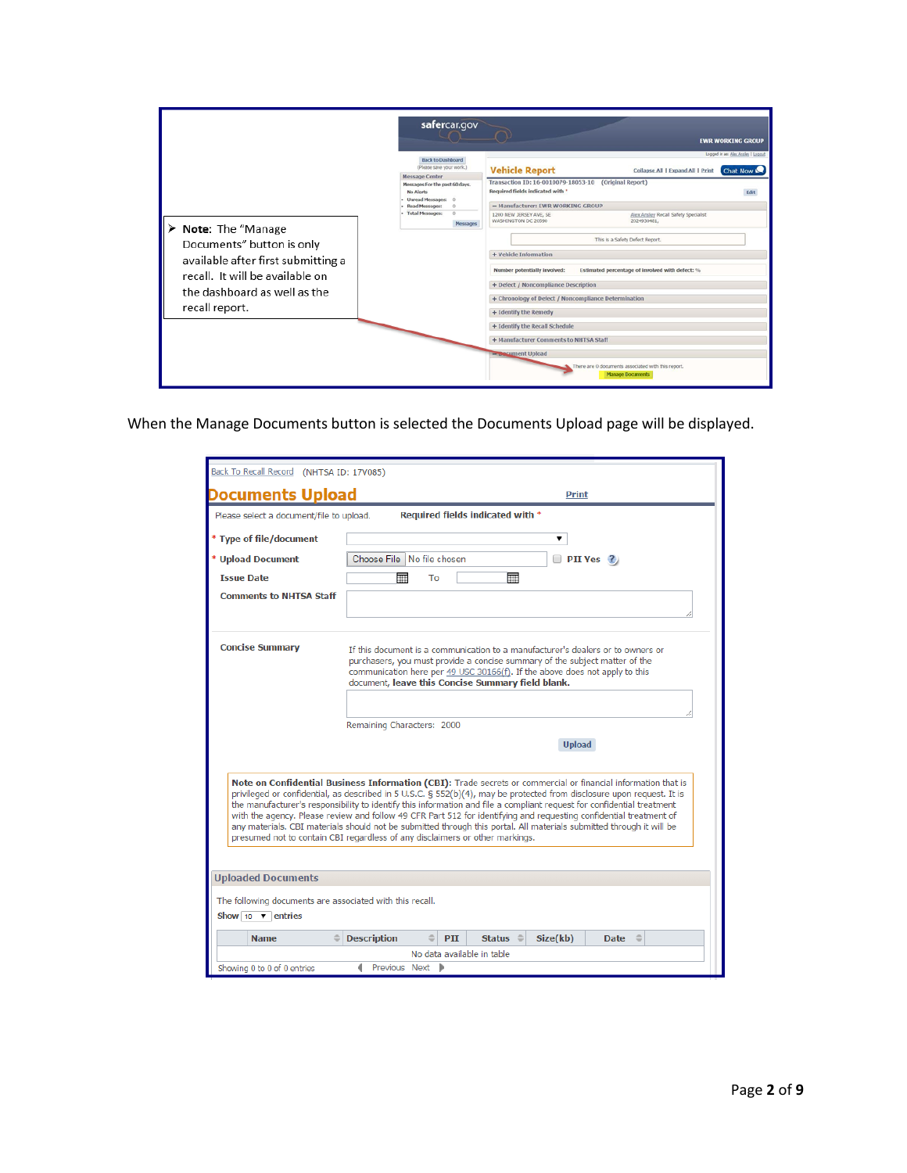|                                                                                                                                    | safercar.gov                                                                                                        | <b>EWR WORKING GROUP</b>                                                                                                                    |  |  |
|------------------------------------------------------------------------------------------------------------------------------------|---------------------------------------------------------------------------------------------------------------------|---------------------------------------------------------------------------------------------------------------------------------------------|--|--|
|                                                                                                                                    | <b>Back to Dashboard</b><br>(Please save your work.)                                                                | Logged in as: Alex Ansley   Loggut<br><b>Vehicle Report</b><br>Collapse All   Expand All   Print<br>Chat Now                                |  |  |
|                                                                                                                                    | <b>Message Center</b><br>Messages For the past 60 days.<br>No Alerts<br>Unread Messages: 0<br><b>Read Messages:</b> | Transaction ID: 16-0010079-18053-10<br>(Original Report)<br>Required fields indicated with *<br>- Manufacturer: EWR WORKING GROUP           |  |  |
| Note: The "Manage                                                                                                                  | <b>Total Messages:</b><br>$\Omega$<br>Messages                                                                      | Alex Ansley Recall Safety Specialist<br>1200 NEW JERSEY AVE, SE<br>WASHINGTON DC 20590<br>2024930481                                        |  |  |
| Documents" button is only<br>available after first submitting a<br>recall. It will be available on<br>the dashboard as well as the |                                                                                                                     | This is a Safety Defect Report.<br>+ Vehicle Information<br>Number potentially involved:<br>Estimated percentage of involved with defect: % |  |  |
|                                                                                                                                    |                                                                                                                     | + Defect / Noncompliance Description<br>+ Chronology of Defect / Noncompliance Determination                                                |  |  |
| recall report.                                                                                                                     |                                                                                                                     | + Identify the Remedy                                                                                                                       |  |  |
|                                                                                                                                    |                                                                                                                     | + Identify the Recall Schedule                                                                                                              |  |  |
|                                                                                                                                    |                                                                                                                     | + Manufacturer Comments to NHTSA Staff                                                                                                      |  |  |
|                                                                                                                                    |                                                                                                                     | <b>Execument Upload</b><br>There are 0 documents associated with this report.<br><b>Manage Documents</b>                                    |  |  |

When the Manage Documents button is selected the Documents Upload page will be displayed.

| Documents Upload                                                                      | <b>Print</b>                                                                                                                                                                                                                                                                                                                                                                                                                                                                                                                                                                                                                                                                                    |
|---------------------------------------------------------------------------------------|-------------------------------------------------------------------------------------------------------------------------------------------------------------------------------------------------------------------------------------------------------------------------------------------------------------------------------------------------------------------------------------------------------------------------------------------------------------------------------------------------------------------------------------------------------------------------------------------------------------------------------------------------------------------------------------------------|
| Please select a document/file to upload.                                              | Required fields indicated with *                                                                                                                                                                                                                                                                                                                                                                                                                                                                                                                                                                                                                                                                |
|                                                                                       | ▼                                                                                                                                                                                                                                                                                                                                                                                                                                                                                                                                                                                                                                                                                               |
| * Type of file/document                                                               |                                                                                                                                                                                                                                                                                                                                                                                                                                                                                                                                                                                                                                                                                                 |
| * Upload Document                                                                     | Choose File No file chosen<br>$\Box$ PII Yes ?                                                                                                                                                                                                                                                                                                                                                                                                                                                                                                                                                                                                                                                  |
| <b>Issue Date</b>                                                                     | 噩<br>亜<br>To                                                                                                                                                                                                                                                                                                                                                                                                                                                                                                                                                                                                                                                                                    |
| <b>Comments to NHTSA Staff</b>                                                        |                                                                                                                                                                                                                                                                                                                                                                                                                                                                                                                                                                                                                                                                                                 |
| <b>Concise Summary</b>                                                                | If this document is a communication to a manufacturer's dealers or to owners or<br>purchasers, you must provide a concise summary of the subject matter of the<br>communication here per 49 USC 30166(f). If the above does not apply to this<br>document, leave this Concise Summary field blank.                                                                                                                                                                                                                                                                                                                                                                                              |
|                                                                                       |                                                                                                                                                                                                                                                                                                                                                                                                                                                                                                                                                                                                                                                                                                 |
|                                                                                       | Remaining Characters: 2000                                                                                                                                                                                                                                                                                                                                                                                                                                                                                                                                                                                                                                                                      |
|                                                                                       | <b>Upload</b>                                                                                                                                                                                                                                                                                                                                                                                                                                                                                                                                                                                                                                                                                   |
|                                                                                       | Note on Confidential Business Information (CBI): Trade secrets or commercial or financial information that is<br>privileged or confidential, as described in 5 U.S.C. § 552(b)(4), may be protected from disclosure upon request. It is<br>the manufacturer's responsibility to identify this information and file a compliant request for confidential treatment<br>with the agency. Please review and follow 49 CFR Part 512 for identifying and requesting confidential treatment of<br>any materials. CBI materials should not be submitted through this portal. All materials submitted through it will be<br>presumed not to contain CBI regardless of any disclaimers or other markings. |
|                                                                                       |                                                                                                                                                                                                                                                                                                                                                                                                                                                                                                                                                                                                                                                                                                 |
|                                                                                       |                                                                                                                                                                                                                                                                                                                                                                                                                                                                                                                                                                                                                                                                                                 |
| The following documents are associated with this recall.<br>Show 10 $\bullet$ entries |                                                                                                                                                                                                                                                                                                                                                                                                                                                                                                                                                                                                                                                                                                 |
| <b>Uploaded Documents</b><br><b>Name</b>                                              | PII<br><b>Description</b><br>Status $\oplus$<br>Size(kb)<br><b>Date</b>                                                                                                                                                                                                                                                                                                                                                                                                                                                                                                                                                                                                                         |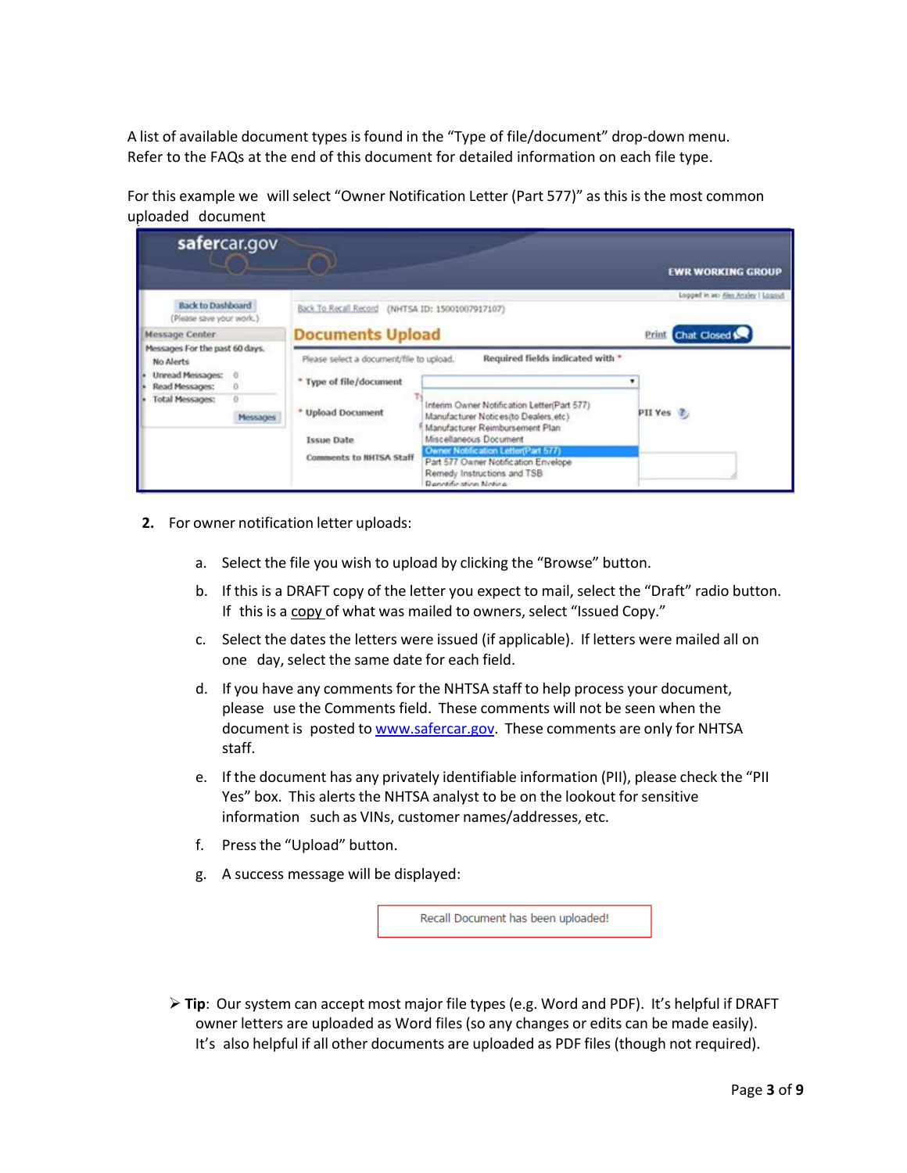A list of available document types is found in the "Type of file/document" drop-down menu. Refer to the FAQs at the end of this document for detailed information on each file type.

For this example we will select "Owner Notification Letter (Part 577)" as this is the most common uploaded document

| safercar.gov                                         |  |                                                  |                                                                                                                                                  | <b>EWR WORKING GROUP</b>                          |
|------------------------------------------------------|--|--------------------------------------------------|--------------------------------------------------------------------------------------------------------------------------------------------------|---------------------------------------------------|
| <b>Back to Dashboard</b><br>(Please save your work.) |  | Back To Recall Record (NHTSA ID: 15001007917107) |                                                                                                                                                  | Logged in as: Alex Analey   Loggud<br>Chat Closed |
| Message Center<br>Messages For the past 60 days.     |  |                                                  | <b>Documents Upload</b>                                                                                                                          |                                                   |
| No Alerts                                            |  | Please select a document/file to upload.         | Required fields indicated with *                                                                                                                 |                                                   |
| Unread Messages:<br>$\Omega$<br>Read Messages:<br>O  |  | * Type of file/document                          |                                                                                                                                                  |                                                   |
| <b>Total Messages:</b><br><b>Messages</b>            |  | * Upload Document<br><b>Issue Date</b>           | Interim Owner Notification Letter(Part 577)<br>Manufacturer Notices(to Dealers.etc)<br>Manufacturer Reimbursement Plan<br>Miscellaneous Document | PII Yes <sup>2</sup>                              |
|                                                      |  | Comments to NHTSA Staff                          | Owner Notification Letter(Part 577)<br>Part 577 Owner Notification Envelope<br>Remedy Instructions and TSB<br>Reportification Notice             |                                                   |

- **2.** For owner notification letter uploads:
	- a. Select the file you wish to upload by clicking the "Browse" button.
	- b. If this is a DRAFT copy of the letter you expect to mail, select the "Draft" radio button. If this is a copy of what was mailed to owners, select "Issued Copy."
	- c. Select the dates the letters were issued (if applicable). If letters were mailed all on one day, select the same date for each field.
	- d. If you have any comments for the NHTSA staff to help process your document, please use the Comments field. These comments will not be seen when the document is posted to [www.safercar.gov.](http://www.safercar.gov/) These comments are only for NHTSA staff.
	- e. If the document has any privately identifiable information (PII), please check the "PII Yes" box. This alerts the NHTSA analyst to be on the lookout for sensitive information such as VINs, customer names/addresses, etc.
	- f. Pressthe "Upload" button.
	- g. A success message will be displayed:

Recall Document has been uploaded!

 **Tip**: Our system can accept most major file types (e.g. Word and PDF). It's helpful if DRAFT owner letters are uploaded as Word files (so any changes or edits can be made easily). It's also helpful if all other documents are uploaded as PDF files (though not required).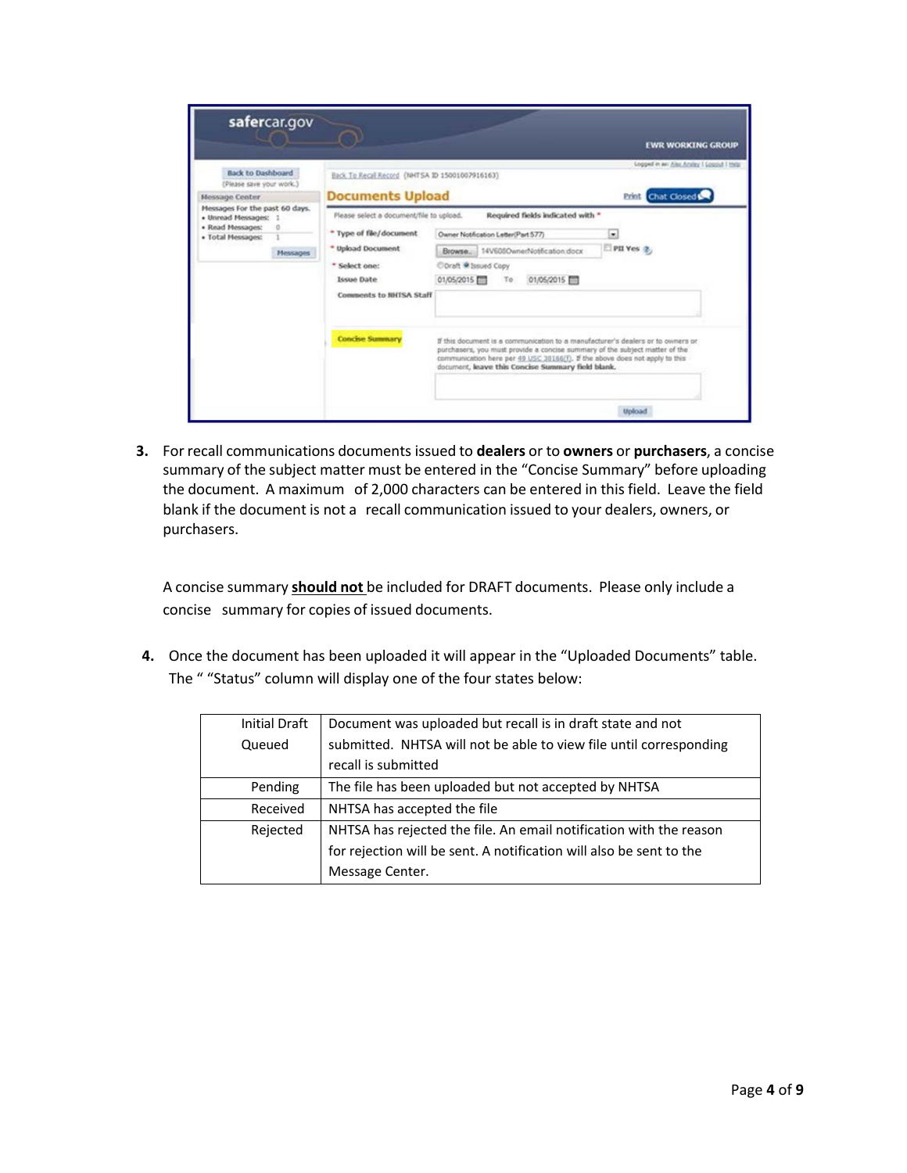|                                                                                                                    |                                                                                                                                                    |                                                                                                                                                                                                                                                                                                    | <b>EWR WORKING GROUP</b>                                              |
|--------------------------------------------------------------------------------------------------------------------|----------------------------------------------------------------------------------------------------------------------------------------------------|----------------------------------------------------------------------------------------------------------------------------------------------------------------------------------------------------------------------------------------------------------------------------------------------------|-----------------------------------------------------------------------|
| <b>Back to Dashboard</b><br>(Please save your work.)<br><b>Message Center</b>                                      | Back To Recal Record (NHTSA ID 15001007916163)<br><b>Documents Upload</b>                                                                          |                                                                                                                                                                                                                                                                                                    | Logged in an Also Analey I Losgist Thirty<br><b>Brink</b> Chat Closed |
| Messages For the past 60 days.<br>· Unread Messages: 1<br>· Read Messages:<br>· Total Messages:<br><b>Messages</b> | Please select a document/file to upload.<br>* Type of file/document<br>* Upload Document<br>* Select one:<br>Issue Date<br>Comments to NHTSA Staff | Required fields indicated with *<br>Owner Notification Letter(Part 577)<br>Browse. 14V608OwnerNothcaton.docx<br>Cloraft @ Issued Copy<br>01/05/2015<br>01/05/2015<br>To                                                                                                                            | ۰<br>PII Yes 2                                                        |
|                                                                                                                    | <b>Concise Summary</b>                                                                                                                             | If this document is a communication to a manufacturer's dealers or to owners or<br>purchasers, you must provide a concise summary of the subject matter of the<br>communication here per 49 USC 38166(f). If the above does not apply to this<br>document, leave this Concise Summary field blank. |                                                                       |

**3.** For recall communications documents issued to **dealers** or to **owners** or **purchasers**, a concise summary of the subject matter must be entered in the "Concise Summary" before uploading the document. A maximum of 2,000 characters can be entered in this field. Leave the field blank if the document is not a recall communication issued to your dealers, owners, or purchasers.

A concise summary **should not** be included for DRAFT documents. Please only include a concise summary for copies of issued documents.

**4.** Once the document has been uploaded it will appear in the "Uploaded Documents" table. The " "Status" column will display one of the four states below:

| <b>Initial Draft</b> | Document was uploaded but recall is in draft state and not          |
|----------------------|---------------------------------------------------------------------|
| Queued               | submitted. NHTSA will not be able to view file until corresponding  |
|                      | recall is submitted                                                 |
| Pending              | The file has been uploaded but not accepted by NHTSA                |
| Received             | NHTSA has accepted the file                                         |
| Rejected             | NHTSA has rejected the file. An email notification with the reason  |
|                      | for rejection will be sent. A notification will also be sent to the |
|                      | Message Center.                                                     |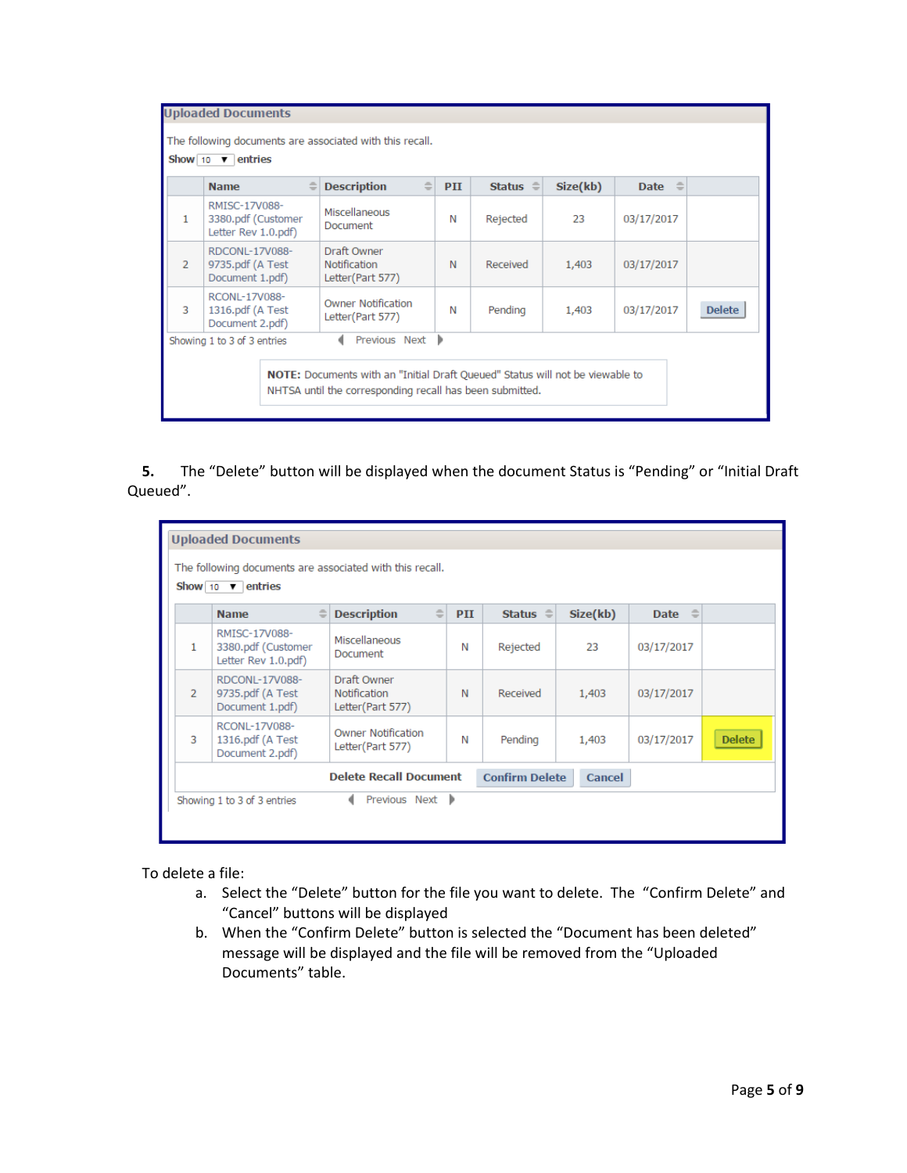|                | $\Rightarrow$<br><b>Name</b>                               | $\Rightarrow$<br><b>Description</b>                    | PII | Status $\oplus$ | Size(kb) | $\Rightarrow$<br><b>Date</b> |               |
|----------------|------------------------------------------------------------|--------------------------------------------------------|-----|-----------------|----------|------------------------------|---------------|
| 1              | RMISC-17V088-<br>3380.pdf (Customer<br>Letter Rev 1.0.pdf) | Miscellaneous<br>Document                              | N   | Rejected        | 23       | 03/17/2017                   |               |
| $\overline{2}$ | RDCONL-17V088-<br>9735.pdf (A Test<br>Document 1.pdf)      | Draft Owner<br><b>Notification</b><br>Letter(Part 577) | N   | Received        | 1,403    | 03/17/2017                   |               |
| 3              | RCONL-17V088-<br>1316.pdf (A Test<br>Document 2.pdf)       | <b>Owner Notification</b><br>Letter(Part 577)          | N   | Pending         | 1,403    | 03/17/2017                   | <b>Delete</b> |

5. The "Delete" button will be displayed when the document Status is "Pending" or "Initial Draft Queued".

| <b>Uploaded Documents</b>                                        |                                                                                       |                                                        |     |                 |          |                |               |
|------------------------------------------------------------------|---------------------------------------------------------------------------------------|--------------------------------------------------------|-----|-----------------|----------|----------------|---------------|
|                                                                  | The following documents are associated with this recall.<br>Show 10 $\bullet$ entries |                                                        |     |                 |          |                |               |
|                                                                  | $\Rightarrow$<br><b>Name</b>                                                          | $\Rightarrow$<br><b>Description</b>                    | PII | Status $\oplus$ | Size(kb) | Date $\hat{=}$ |               |
| 1                                                                | RMISC-17V088-<br>3380.pdf (Customer<br>Letter Rev 1.0.pdf)                            | Miscellaneous<br>Document                              | N   | Rejected        | 23       | 03/17/2017     |               |
| $\overline{2}$                                                   | RDCONL-17V088-<br>9735.pdf (A Test<br>Document 1.pdf)                                 | Draft Owner<br><b>Notification</b><br>Letter(Part 577) | N   | Received        | 1,403    | 03/17/2017     |               |
| 3                                                                | RCONL-17V088-<br>1316.pdf (A Test<br>Document 2.pdf)                                  | <b>Owner Notification</b><br>Letter(Part 577)          | N   | Pending         | 1,403    | 03/17/2017     | <b>Delete</b> |
| <b>Delete Recall Document</b><br><b>Confirm Delete</b><br>Cancel |                                                                                       |                                                        |     |                 |          |                |               |
|                                                                  | Showing 1 to 3 of 3 entries                                                           | Previous Next D                                        |     |                 |          |                |               |
|                                                                  |                                                                                       |                                                        |     |                 |          |                |               |

To delete a file:

- a. Select the "Delete" button for the file you want to delete. The "Confirm Delete" and "Cancel" buttons will be displayed
- b. When the "Confirm Delete" button is selected the "Document has been deleted" message will be displayed and the file will be removed from the "Uploaded Documents" table.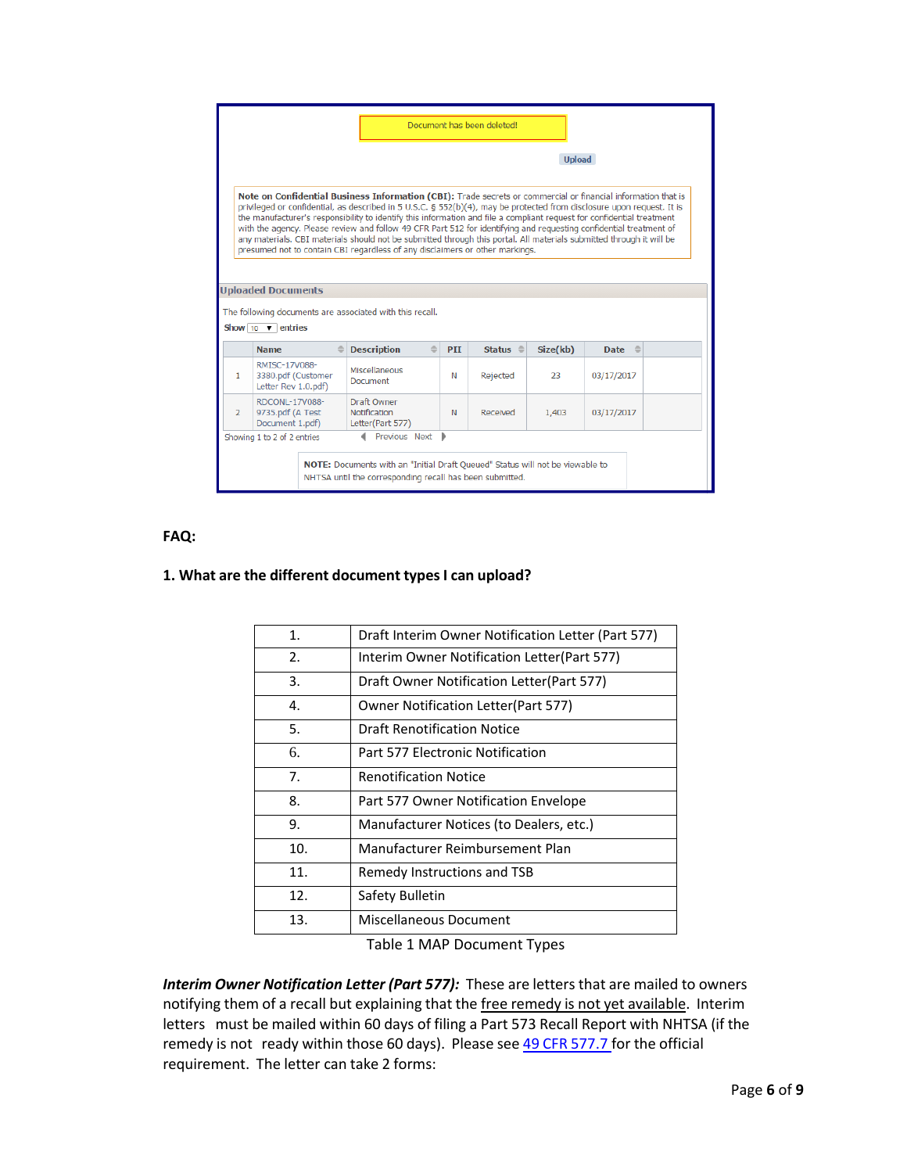|                |                                                                    |                                                                                                                                                                                                                                                                                                                                                                                                                                                                                                                                                                                                                                                                                                                                                             |     |                  | <b>Upload</b> |               |  |
|----------------|--------------------------------------------------------------------|-------------------------------------------------------------------------------------------------------------------------------------------------------------------------------------------------------------------------------------------------------------------------------------------------------------------------------------------------------------------------------------------------------------------------------------------------------------------------------------------------------------------------------------------------------------------------------------------------------------------------------------------------------------------------------------------------------------------------------------------------------------|-----|------------------|---------------|---------------|--|
|                | <b>Uploaded Documents</b><br>Show $10 \quad \triangledown$ entries | Note on Confidential Business Information (CBI): Trade secrets or commercial or financial information that is<br>privileged or confidential, as described in 5 U.S.C. § 552(b)(4), may be protected from disclosure upon request. It is<br>the manufacturer's responsibility to identify this information and file a compliant request for confidential treatment<br>with the agency. Please review and follow 49 CFR Part 512 for identifying and requesting confidential treatment of<br>any materials. CBI materials should not be submitted through this portal. All materials submitted through it will be<br>presumed not to contain CBI regardless of any disclaimers or other markings.<br>The following documents are associated with this recall. |     |                  |               |               |  |
|                | <b>Name</b>                                                        | <b>Description</b>                                                                                                                                                                                                                                                                                                                                                                                                                                                                                                                                                                                                                                                                                                                                          | PII | Status $\hat{=}$ | Size(kb)      | Date $\oplus$ |  |
| $\mathbf{1}$   | RMISC-17V088-<br>3380.pdf (Customer<br>Letter Rev 1.0.pdf)         | Miscellaneous<br>Document                                                                                                                                                                                                                                                                                                                                                                                                                                                                                                                                                                                                                                                                                                                                   | N   | Rejected         | 23            | 03/17/2017    |  |
|                | RDCONI-17V088-<br>9735.pdf (A Test                                 | Draft Owner<br><b>Notification</b>                                                                                                                                                                                                                                                                                                                                                                                                                                                                                                                                                                                                                                                                                                                          | N   | Received         | 1,403         | 03/17/2017    |  |
| $\overline{2}$ | Document 1.pdf)                                                    | Letter(Part 577)                                                                                                                                                                                                                                                                                                                                                                                                                                                                                                                                                                                                                                                                                                                                            |     |                  |               |               |  |

#### **FAQ:**

### **1. What are the different document types I can upload?**

| 1.  | Draft Interim Owner Notification Letter (Part 577) |
|-----|----------------------------------------------------|
| 2.  | Interim Owner Notification Letter (Part 577)       |
| 3.  | Draft Owner Notification Letter(Part 577)          |
| 4.  | <b>Owner Notification Letter (Part 577)</b>        |
| 5.  | Draft Renotification Notice                        |
| 6.  | Part 577 Electronic Notification                   |
| 7.  | <b>Renotification Notice</b>                       |
| 8.  | Part 577 Owner Notification Envelope               |
| 9.  | Manufacturer Notices (to Dealers, etc.)            |
| 10. | Manufacturer Reimbursement Plan                    |
| 11. | Remedy Instructions and TSB                        |
| 12. | Safety Bulletin                                    |
| 13. | Miscellaneous Document                             |
|     |                                                    |

Table 1 MAP Document Types

*Interim Owner Notification Letter (Part 577):* These are letters that are mailed to owners notifying them of a recall but explaining that the free remedy is not yet available. Interim letters must be mailed within 60 days of filing a Part 573 Recall Report with NHTSA (if the remedy is not ready within those 60 days). Please see 49 CFR [577.7](http://www.ecfr.gov/cgi-bin/text-idx?SID=ac9171a76645ee0c1628886c8e102dee&node=se49.7.577_17&rgn=div8) for the official requirement. The letter can take 2 forms: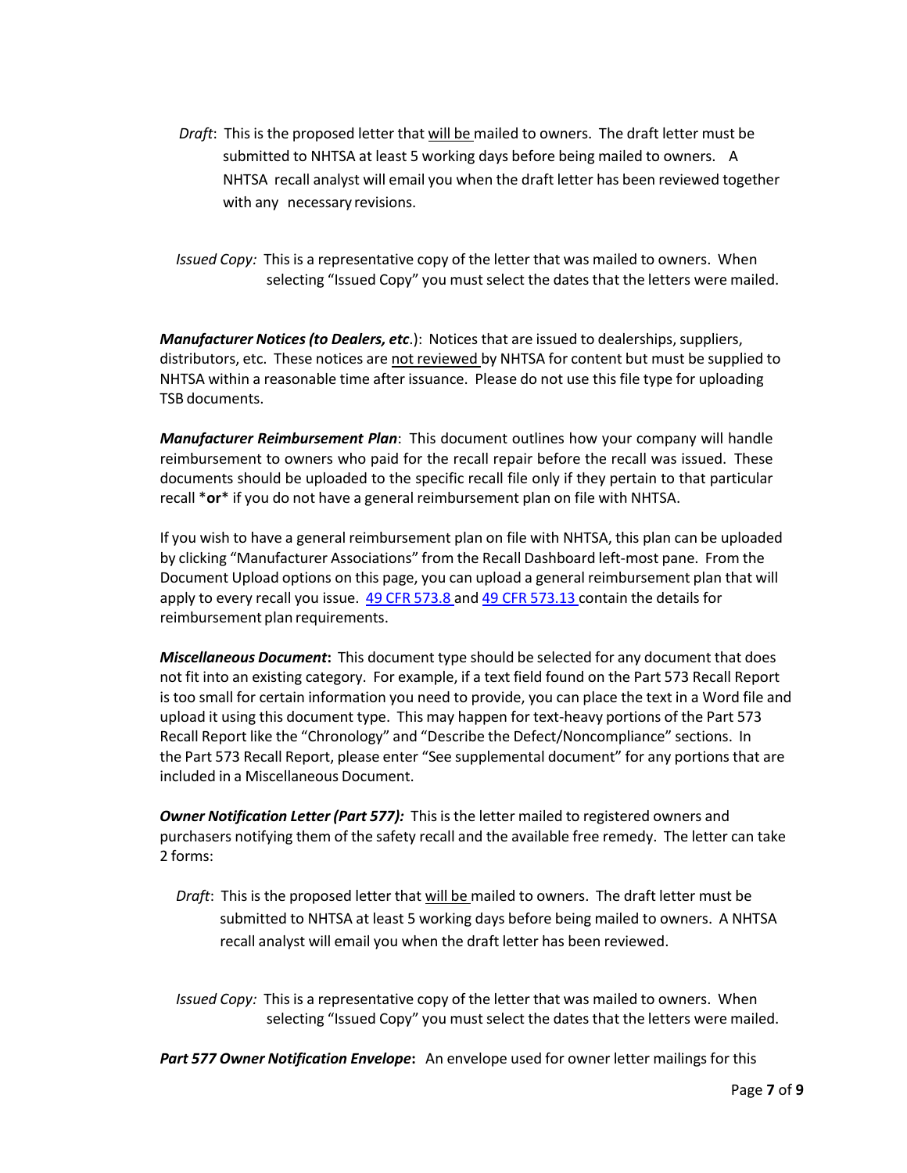- *Draft*: This is the proposed letter that will be mailed to owners. The draft letter must be submitted to NHTSA at least 5 working days before being mailed to owners. A NHTSA recall analyst will email you when the draft letter has been reviewed together with any necessary revisions.
- *Issued Copy:* This is a representative copy of the letter that was mailed to owners. When selecting "Issued Copy" you must select the dates that the letters were mailed.

*Manufacturer Notices (to Dealers, etc.*): Notices that are issued to dealerships, suppliers, distributors, etc. These notices are not reviewed by NHTSA for content but must be supplied to NHTSA within a reasonable time after issuance. Please do not use thisfile type for uploading TSB documents.

*Manufacturer Reimbursement Plan*: This document outlines how your company will handle reimbursement to owners who paid for the recall repair before the recall was issued. These documents should be uploaded to the specific recall file only if they pertain to that particular recall \***or**\* if you do not have a general reimbursement plan on file with NHTSA.

If you wish to have a general reimbursement plan on file with NHTSA, this plan can be uploaded by clicking "Manufacturer Associations" from the Recall Dashboard left-most pane. From the Document Upload options on this page, you can upload a general reimbursement plan that will apply to every recall you issue. 49 CFR [573.8](http://www.ecfr.gov/cgi-bin/text-idx?SID=ac9171a76645ee0c1628886c8e102dee&node=se49.7.573_16&rgn=div8) and 49 CFR [573.13](http://www.ecfr.gov/cgi-bin/text-idx?SID=ac9171a76645ee0c1628886c8e102dee&node=se49.7.573_113&rgn=div8) contain the details for reimbursement plan requirements.

*Miscellaneous Document***:** This document type should be selected for any document that does not fit into an existing category. For example, if a text field found on the Part 573 Recall Report is too small for certain information you need to provide, you can place the text in a Word file and upload it using this document type. This may happen for text-heavy portions of the Part 573 Recall Report like the "Chronology" and "Describe the Defect/Noncompliance" sections. In the Part 573 Recall Report, please enter "See supplemental document" for any portions that are included in a Miscellaneous Document.

*Owner Notification Letter (Part 577):* Thisis the letter mailed to registered owners and purchasers notifying them of the safety recall and the available free remedy. The letter can take 2 forms:

*Draft*: This is the proposed letter that will be mailed to owners. The draft letter must be submitted to NHTSA at least 5 working days before being mailed to owners. A NHTSA recall analyst will email you when the draft letter has been reviewed.

*Issued Copy:* This is a representative copy of the letter that was mailed to owners. When selecting "Issued Copy" you must select the dates that the letters were mailed.

*Part 577 Owner Notification Envelope***:** An envelope used for owner letter mailings for this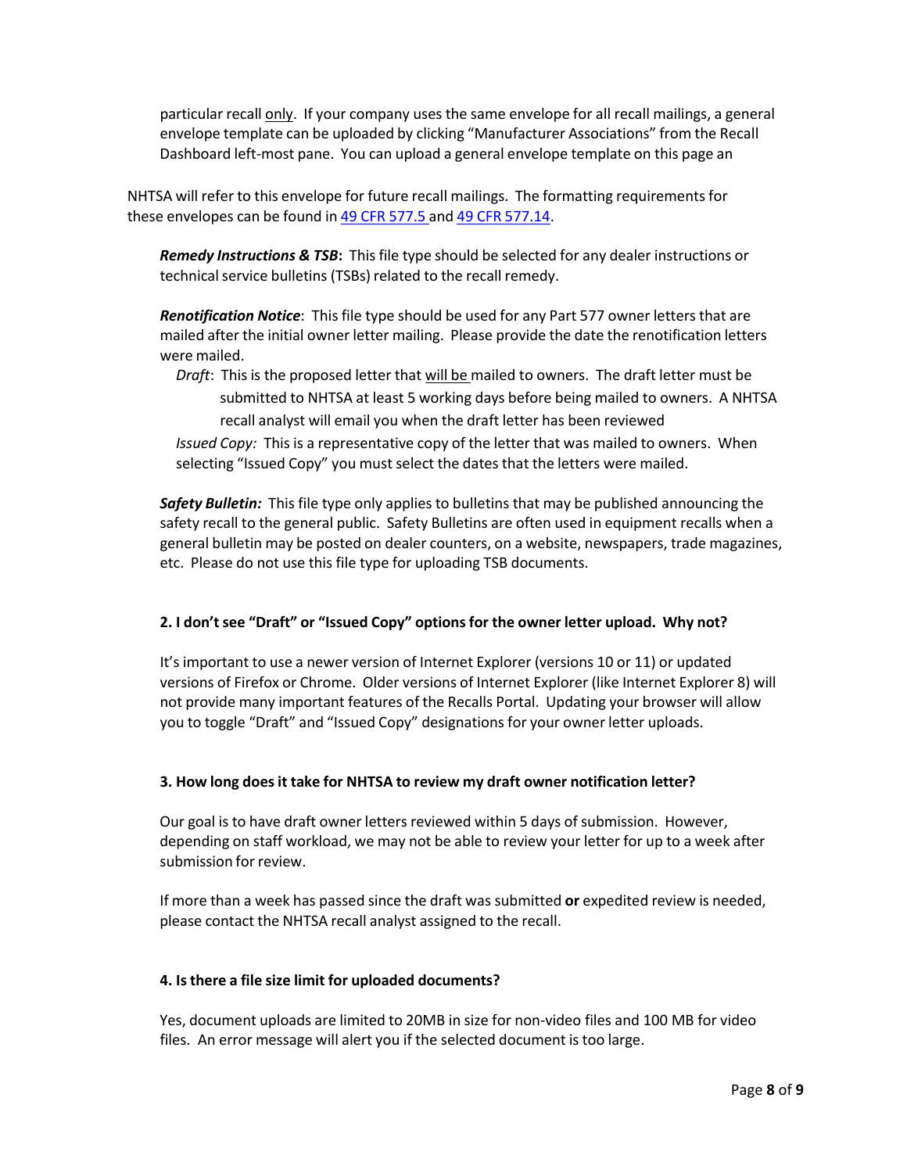particular recall only. If your company uses the same envelope for all recall mailings, a general envelope template can be uploaded by clicking "Manufacturer Associations" from the Recall Dashboard left-most pane. You can upload a general envelope template on this page an

NHTSA will refer to this envelope for future recall mailings. The formatting requirementsfor these envelopes can be found in 49 CFR [577.5](http://www.ecfr.gov/cgi-bin/text-idx?SID=a808293120da605828ac309035e79fe3&node=se49.7.577_15&rgn=div8) and 49 CFR [577.14.](http://www.ecfr.gov/cgi-bin/text-idx?SID=a808293120da605828ac309035e79fe3&node=se49.7.577_114&rgn=div8)

*Remedy Instructions & TSB***:** This file type should be selected for any dealer instructions or technical service bulletins (TSBs) related to the recall remedy.

*Renotification Notice*: This file type should be used for any Part 577 owner letters that are mailed after the initial owner letter mailing. Please provide the date the renotification letters were mailed.

*Draft*: This is the proposed letter that will be mailed to owners. The draft letter must be submitted to NHTSA at least 5 working days before being mailed to owners. A NHTSA recall analyst will email you when the draft letter has been reviewed *Issued Copy:* This is a representative copy of the letter that was mailed to owners. When selecting "Issued Copy" you must select the dates that the letters were mailed.

**Safety Bulletin:** This file type only applies to bulletins that may be published announcing the safety recall to the general public. Safety Bulletins are often used in equipment recalls when a general bulletin may be posted on dealer counters, on a website, newspapers, trade magazines, etc. Please do not use this file type for uploading TSB documents.

# **2. I don'tsee "Draft" or "Issued Copy" optionsfor the owner letter upload. Why not?**

It'simportant to use a newer version of Internet Explorer (versions 10 or 11) or updated versions of Firefox or Chrome. Older versions of Internet Explorer (like Internet Explorer 8) will not provide many important features of the Recalls Portal. Updating your browser will allow you to toggle "Draft" and "Issued Copy" designations for your owner letter uploads.

# **3. How long doesit take for NHTSA to review my draft owner notification letter?**

Our goal is to have draft owner letters reviewed within 5 days of submission. However, depending on staff workload, we may not be able to review your letter for up to a week after submission for review.

If more than a week has passed since the draft was submitted **or** expedited review is needed, please contact the NHTSA recall analyst assigned to the recall.

# **4. Isthere a file size limit for uploaded documents?**

Yes, document uploads are limited to 20MB in size for non-video files and 100 MB for video files. An error message will alert you if the selected document is too large.